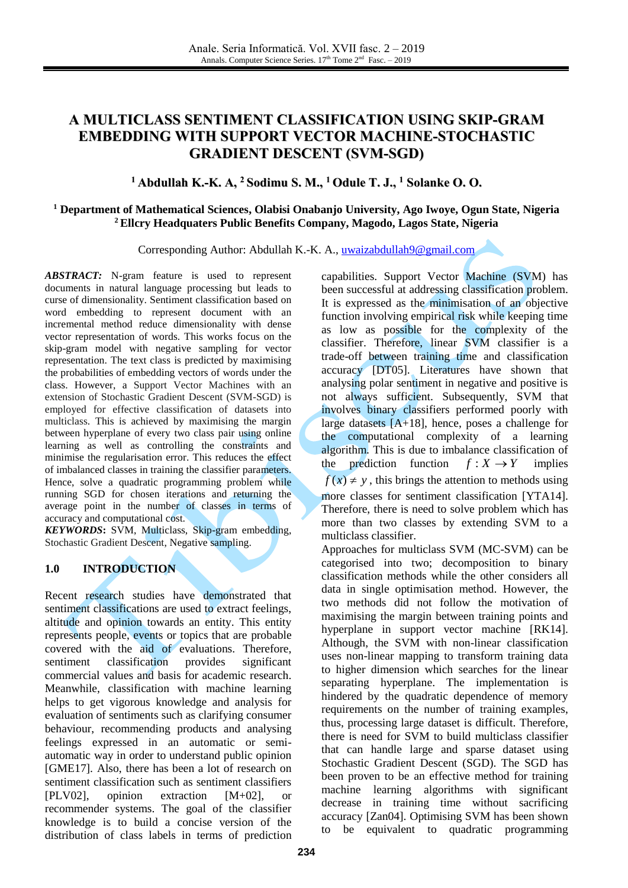# **A MULTICLASS SENTIMENT CLASSIFICATION USING SKIP-GRAM EMBEDDING WITH SUPPORT VECTOR MACHINE-STOCHASTIC GRADIENT DESCENT (SVM-SGD)**

## **<sup>1</sup> Abdullah K.-K. A, <sup>2</sup> Sodimu S. M., <sup>1</sup> Odule T. J., <sup>1</sup> Solanke O. O.**

## **<sup>1</sup> Department of Mathematical Sciences, Olabisi Onabanjo University, Ago Iwoye, Ogun State, Nigeria <sup>2</sup>Ellcry Headquaters Public Benefits Company, Magodo, Lagos State, Nigeria**

Corresponding Author: Abdullah K.-K. A.[, uwaizabdullah9@gmail.com](mailto:uwaizabdullah9@gmail.com)

*ABSTRACT:* N-gram feature is used to represent documents in natural language processing but leads to curse of dimensionality. Sentiment classification based on word embedding to represent document with an incremental method reduce dimensionality with dense vector representation of words. This works focus on the skip-gram model with negative sampling for vector representation. The text class is predicted by maximising the probabilities of embedding vectors of words under the class. However, a Support Vector Machines with an extension of Stochastic Gradient Descent (SVM-SGD) is employed for effective classification of datasets into multiclass. This is achieved by maximising the margin between hyperplane of every two class pair using online learning as well as controlling the constraints and minimise the regularisation error. This reduces the effect of imbalanced classes in training the classifier parameters. Hence, solve a quadratic programming problem while running SGD for chosen iterations and returning the average point in the number of classes in terms of accuracy and computational cost.

*KEYWORDS***:** SVM, Multiclass, Skip-gram embedding, Stochastic Gradient Descent, Negative sampling.

## **1.0 INTRODUCTION**

Recent research studies have demonstrated that sentiment classifications are used to extract feelings, altitude and opinion towards an entity. This entity represents people, events or topics that are probable covered with the aid of evaluations. Therefore, sentiment classification provides significant commercial values and basis for academic research. Meanwhile, classification with machine learning helps to get vigorous knowledge and analysis for evaluation of sentiments such as clarifying consumer behaviour, recommending products and analysing feelings expressed in an automatic or semiautomatic way in order to understand public opinion [GME17]. Also, there has been a lot of research on sentiment classification such as sentiment classifiers [PLV02], opinion extraction [M+02], or recommender systems. The goal of the classifier knowledge is to build a concise version of the distribution of class labels in terms of prediction capabilities. Support Vector Machine (SVM) has been successful at addressing classification problem. It is expressed as the minimisation of an objective function involving empirical risk while keeping time as low as possible for the complexity of the classifier. Therefore, linear SVM classifier is a trade-off between training time and classification accuracy [DT05]. Literatures have shown that analysing polar sentiment in negative and positive is not always sufficient. Subsequently, SVM that involves binary classifiers performed poorly with large datasets [A+18], hence, poses a challenge for the computational complexity of a learning algorithm. This is due to imbalance classification of the prediction function  $f: X \rightarrow Y$ implies  $f(x) \neq y$ , this brings the attention to methods using more classes for sentiment classification [YTA14]. Therefore, there is need to solve problem which has more than two classes by extending SVM to a multiclass classifier.

Approaches for multiclass SVM (MC-SVM) can be categorised into two; decomposition to binary classification methods while the other considers all data in single optimisation method. However, the two methods did not follow the motivation of maximising the margin between training points and hyperplane in support vector machine [RK14]. Although, the SVM with non-linear classification uses non-linear mapping to transform training data to higher dimension which searches for the linear separating hyperplane. The implementation is hindered by the quadratic dependence of memory requirements on the number of training examples, thus, processing large dataset is difficult. Therefore, there is need for SVM to build multiclass classifier that can handle large and sparse dataset using Stochastic Gradient Descent (SGD). The SGD has been proven to be an effective method for training machine learning algorithms with significant decrease in training time without sacrificing accuracy [Zan04]. Optimising SVM has been shown to be equivalent to quadratic programming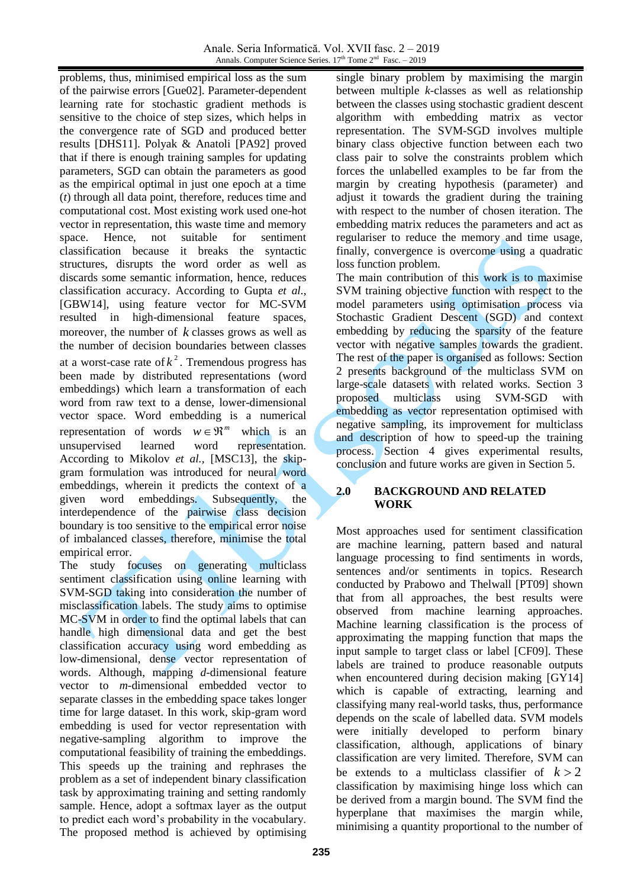problems, thus, minimised empirical loss as the sum of the pairwise errors [Gue02]. Parameter-dependent learning rate for stochastic gradient methods is sensitive to the choice of step sizes, which helps in the convergence rate of SGD and produced better results [DHS11]. Polyak & Anatoli [PA92] proved that if there is enough training samples for updating parameters, SGD can obtain the parameters as good as the empirical optimal in just one epoch at a time (*t*) through all data point, therefore, reduces time and computational cost. Most existing work used one-hot vector in representation, this waste time and memory space. Hence, not suitable for sentiment classification because it breaks the syntactic structures, disrupts the word order as well as discards some semantic information, hence, reduces classification accuracy. According to Gupta *et al.,* [GBW14], using feature vector for MC-SVM resulted in high-dimensional feature spaces, moreover, the number of  $k$  classes grows as well as the number of decision boundaries between classes at a worst-case rate of  $k^2$ . Tremendous progress has been made by distributed representations (word embeddings) which learn a transformation of each word from raw text to a dense, lower-dimensional vector space. Word embedding is a numerical representation of words  $w \in \mathbb{R}^m$ which is an unsupervised learned word representation. According to Mikolov *et al.,* [MSC13], the skipgram formulation was introduced for neural word embeddings, wherein it predicts the context of a given word embeddings. Subsequently, the interdependence of the pairwise class decision boundary is too sensitive to the empirical error noise of imbalanced classes, therefore, minimise the total empirical error.

The study focuses on generating multiclass sentiment classification using online learning with SVM-SGD taking into consideration the number of misclassification labels. The study aims to optimise MC-SVM in order to find the optimal labels that can handle high dimensional data and get the best classification accuracy using word embedding as low-dimensional, dense vector representation of words. Although, mapping *d-*dimensional feature vector to *m-*dimensional embedded vector to separate classes in the embedding space takes longer time for large dataset. In this work, skip-gram word embedding is used for vector representation with negative-sampling algorithm to improve the computational feasibility of training the embeddings. This speeds up the training and rephrases the problem as a set of independent binary classification task by approximating training and setting randomly sample. Hence, adopt a softmax layer as the output to predict each word's probability in the vocabulary. The proposed method is achieved by optimising

single binary problem by maximising the margin between multiple *k-*classes as well as relationship between the classes using stochastic gradient descent algorithm with embedding matrix as vector representation. The SVM-SGD involves multiple binary class objective function between each two class pair to solve the constraints problem which forces the unlabelled examples to be far from the margin by creating hypothesis (parameter) and adjust it towards the gradient during the training with respect to the number of chosen iteration. The embedding matrix reduces the parameters and act as regulariser to reduce the memory and time usage, finally, convergence is overcome using a quadratic loss function problem.

The main contribution of this work is to maximise SVM training objective function with respect to the model parameters using optimisation process via Stochastic Gradient Descent (SGD) and context embedding by reducing the sparsity of the feature vector with negative samples towards the gradient. The rest of the paper is organised as follows: Section 2 presents background of the multiclass SVM on large-scale datasets with related works. Section 3 proposed multiclass using SVM-SGD with embedding as vector representation optimised with negative sampling, its improvement for multiclass and description of how to speed-up the training process. Section 4 gives experimental results, conclusion and future works are given in Section 5.

## **2.0 BACKGROUND AND RELATED WORK**

Most approaches used for sentiment classification are machine learning, pattern based and natural language processing to find sentiments in words, sentences and/or sentiments in topics. Research conducted by Prabowo and Thelwall [PT09] shown that from all approaches, the best results were observed from machine learning approaches. Machine learning classification is the process of approximating the mapping function that maps the input sample to target class or label [CF09]. These labels are trained to produce reasonable outputs when encountered during decision making [GY14] which is capable of extracting, learning and classifying many real-world tasks, thus, performance depends on the scale of labelled data. SVM models were initially developed to perform binary classification, although, applications of binary classification are very limited. Therefore, SVM can be extends to a multiclass classifier of  $k > 2$ classification by maximising hinge loss which can be derived from a margin bound. The SVM find the hyperplane that maximises the margin while, minimising a quantity proportional to the number of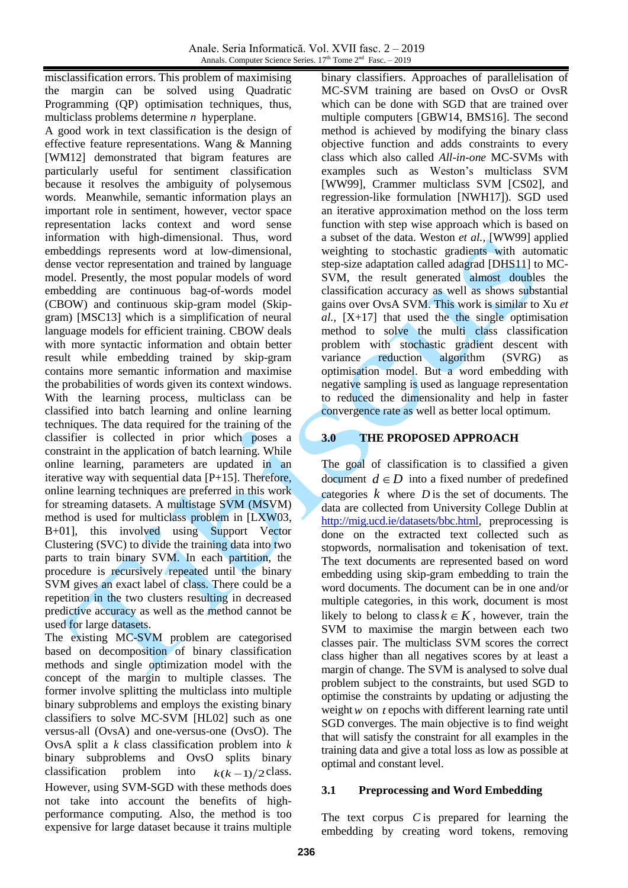misclassification errors. This problem of maximising the margin can be solved using Quadratic Programming (QP) optimisation techniques, thus, multiclass problems determine *n* hyperplane.

A good work in text classification is the design of effective feature representations. Wang & Manning [WM12] demonstrated that bigram features are particularly useful for sentiment classification because it resolves the ambiguity of polysemous words. Meanwhile, semantic information plays an important role in sentiment, however, vector space representation lacks context and word sense information with high-dimensional. Thus, word embeddings represents word at low-dimensional, dense vector representation and trained by language model. Presently, the most popular models of word embedding are continuous bag-of-words model (CBOW) and continuous skip-gram model (Skipgram) [MSC13] which is a simplification of neural language models for efficient training. CBOW deals with more syntactic information and obtain better result while embedding trained by skip-gram contains more semantic information and maximise the probabilities of words given its context windows. With the learning process, multiclass can be classified into batch learning and online learning techniques. The data required for the training of the classifier is collected in prior which poses a constraint in the application of batch learning. While online learning, parameters are updated in an iterative way with sequential data [P+15]. Therefore, online learning techniques are preferred in this work for streaming datasets. A multistage SVM (MSVM) method is used for multiclass problem in [LXW03, B+01], this involved using Support Vector Clustering (SVC) to divide the training data into two parts to train binary SVM. In each partition, the procedure is recursively repeated until the binary SVM gives an exact label of class. There could be a repetition in the two clusters resulting in decreased predictive accuracy as well as the method cannot be used for large datasets.

The existing MC-SVM problem are categorised based on decomposition of binary classification methods and single optimization model with the concept of the margin to multiple classes. The former involve splitting the multiclass into multiple binary subproblems and employs the existing binary classifiers to solve MC-SVM [HL02] such as one versus-all (OvsA) and one-versus-one (OvsO). The OvsA split a *k* class classification problem into *k* binary subproblems and OvsO splits binary classification problem into  $k(k-1)/2$  class. However, using SVM-SGD with these methods does not take into account the benefits of highperformance computing. Also, the method is too expensive for large dataset because it trains multiple

binary classifiers. Approaches of parallelisation of MC-SVM training are based on OvsO or OvsR which can be done with SGD that are trained over multiple computers [GBW14, BMS16]. The second method is achieved by modifying the binary class objective function and adds constraints to every class which also called *All-in-one* MC-SVMs with examples such as Weston's multiclass SVM [WW99], Crammer multiclass SVM [CS02], and regression-like formulation [NWH17]). SGD used an iterative approximation method on the loss term function with step wise approach which is based on a subset of the data. Weston *et al.,* [WW99] applied weighting to stochastic gradients with automatic step-size adaptation called adagrad [DHS11] to MC-SVM, the result generated almost doubles the classification accuracy as well as shows substantial gains over OvsA SVM. This work is similar to Xu *et*   $al$ ,  $[X+17]$  that used the the single optimisation method to solve the multi class classification problem with stochastic gradient descent with variance reduction algorithm (SVRG) as optimisation model. But a word embedding with negative sampling is used as language representation to reduced the dimensionality and help in faster convergence rate as well as better local optimum.

## **3.0 THE PROPOSED APPROACH**

The goal of classification is to classified a given document  $d \in D$  into a fixed number of predefined categories  $k$  where  $D$  is the set of documents. The data are collected from University College Dublin at [http://mig.ucd.ie/datasets/bbc.html,](http://mig.ucd.ie/datasets/bbc.html) preprocessing is done on the extracted text collected such as stopwords, normalisation and tokenisation of text. The text documents are represented based on word embedding using skip-gram embedding to train the word documents. The document can be in one and/or multiple categories, in this work, document is most likely to belong to class  $k \in K$ , however, train the SVM to maximise the margin between each two classes pair. The multiclass SVM scores the correct class higher than all negatives scores by at least a margin of change. The SVM is analysed to solve dual problem subject to the constraints, but used SGD to optimise the constraints by updating or adjusting the weight  $w$  on  $t$  epochs with different learning rate until SGD converges. The main objective is to find weight that will satisfy the constraint for all examples in the training data and give a total loss as low as possible at optimal and constant level.

## **3.1 Preprocessing and Word Embedding**

The text corpus *C* is prepared for learning the embedding by creating word tokens, removing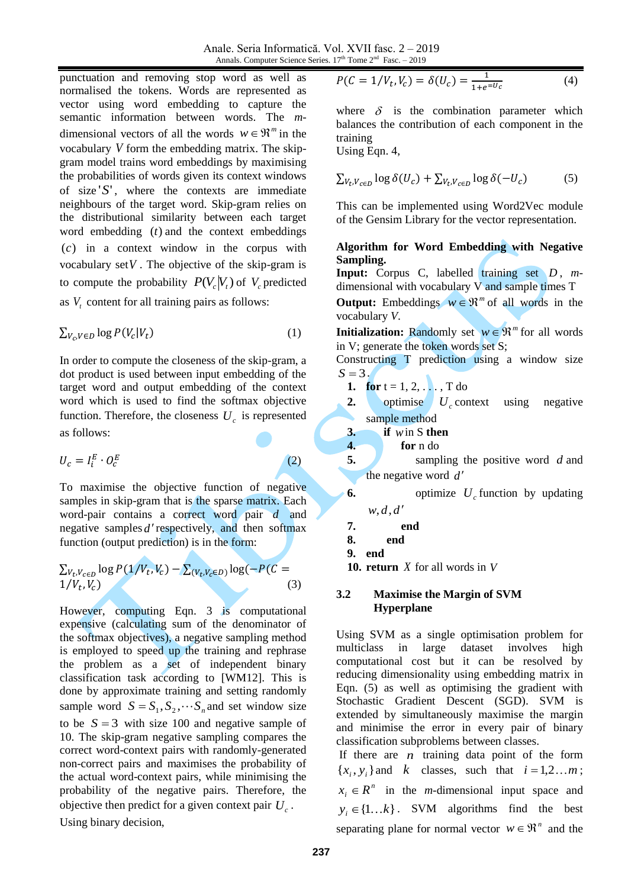Anale. Seria Informatică. Vol. XVII fasc. 2 – 2019 Annals. Computer Science Series. 17<sup>th</sup> Tome 2<sup>nd</sup> Fasc. - 2019

punctuation and removing stop word as well as normalised the tokens. Words are represented as vector using word embedding to capture the semantic information between words. The *m*dimensional vectors of all the words  $w \in \mathbb{R}^m$  in the vocabulary *V* form the embedding matrix. The skipgram model trains word embeddings by maximising the probabilities of words given its context windows of size '*S*' , where the contexts are immediate neighbours of the target word. Skip-gram relies on the distributional similarity between each target word embedding (*t*) and the context embeddings (*c*) in a context window in the corpus with vocabulary set  $V$ . The objective of the skip-gram is to compute the probability  $P(V_c | V_t)$  of  $V_c$  predicted as  $V_t$  content for all training pairs as follows:

$$
\sum_{V_c, V \in D} \log P(V_c | V_t)
$$
\n<sup>(1)</sup>

In order to compute the closeness of the skip-gram, a dot product is used between input embedding of the target word and output embedding of the context word which is used to find the softmax objective function. Therefore, the closeness  $U_c$  is represented as follows:

$$
U_c = I_i^E \cdot O_c^E
$$

(2)

To maximise the objective function of negative samples in skip-gram that is the sparse matrix. Each word-pair contains a correct word pair *d* and negative samples *d* respectively, and then softmax function (output prediction) is in the form:

$$
\sum_{V_t, V_{c \in D}} \log P(1/V_t, V_c) - \sum_{(V_t, V_c \in D)} \log(-P(C = 1/V_t, V_c))
$$
\n(3)

However, computing Eqn. 3 is computational expensive (calculating sum of the denominator of the softmax objectives), a negative sampling method is employed to speed up the training and rephrase the problem as a set of independent binary classification task according to [WM12]. This is done by approximate training and setting randomly sample word  $S = S_1, S_2, \dots, S_n$  and set window size to be  $S = 3$  with size 100 and negative sample of 10. The skip-gram negative sampling compares the correct word-context pairs with randomly-generated non-correct pairs and maximises the probability of the actual word-context pairs, while minimising the probability of the negative pairs. Therefore, the objective then predict for a given context pair  $U_c$ .

Using binary decision,

$$
P(C = 1/V_t, V_c) = \delta(U_c) = \frac{1}{1 + e^{-U_c}}
$$
(4)

where  $\delta$  is the combination parameter which balances the contribution of each component in the training Using Eqn. 4,

$$
\sum_{V_t, V_{c \in D}} \log \delta(U_c) + \sum_{V_t, V_{c \in D}} \log \delta(-U_c)
$$
 (5)

This can be implemented using Word2Vec module of the Gensim Library for the vector representation.

## **Algorithm for Word Embedding with Negative Sampling.**

**Input:** Corpus C, labelled training set *D* , *m*dimensional with vocabulary  $V$  and sample times  $T$ 

**Output:** Embeddings  $w \in \mathbb{R}^m$  of all words in the vocabulary *V*.

**Initialization:** Randomly set  $w \in \mathbb{R}^m$  for all words in V; generate the token words set S;

Constructing T prediction using a window size  $S = 3$ .

- **1. for**  $t = 1, 2, ...$ , **T** do
- **2.** optimise  $U_c$  context using negative sample method
- **3. if** *w* in S **then**
- **4. for** n do
- **5.** sampling the positive word d and the negative word *d*
- **6.** optimize  $U_c$  function by updating *w*,*d*,*d*
- **7. end**
- **8. end**
- **9. end**
- **10. return** *X* for all words in *V*

#### **3.2 Maximise the Margin of SVM Hyperplane**

Using SVM as a single optimisation problem for multiclass in large dataset involves high computational cost but it can be resolved by reducing dimensionality using embedding matrix in Eqn. (5) as well as optimising the gradient with Stochastic Gradient Descent (SGD). SVM is extended by simultaneously maximise the margin and minimise the error in every pair of binary classification subproblems between classes.

If there are  $n$  training data point of the form  $\{x_i, y_i\}$  and *k* classes, such that  $i = 1, 2...m$ ;  $x_i \in R^n$  in the *m*-dimensional input space and  $y_i \in \{1...k\}$ . SVM algorithms find the best separating plane for normal vector  $w \in \mathbb{R}^n$  and the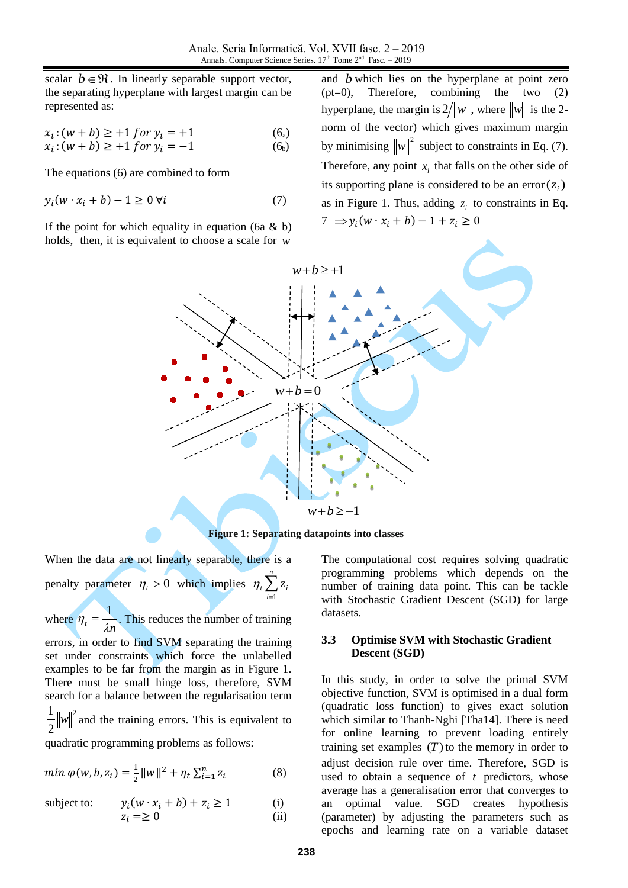scalar  $b \in \mathcal{R}$ . In linearly separable support vector, the separating hyperplane with largest margin can be represented as:

$$
x_i : (w + b) \ge +1 \text{ for } y_i = +1 \tag{6a}
$$

$$
x_i : (w + b) \ge +1 \text{ for } y_i = -1 \tag{6b}
$$

The equations (6) are combined to form

$$
y_i(w \cdot x_i + b) - 1 \ge 0 \,\forall i \tag{7}
$$

If the point for which equality in equation (6a  $\&$  b) holds, then, it is equivalent to choose a scale for *w*

and *b* which lies on the hyperplane at point zero (pt=0), Therefore, combining the two (2) hyperplane, the margin is  $2/\Vert w \Vert$ , where  $\Vert w \Vert$  is the 2norm of the vector) which gives maximum margin by minimising  $\|w\|^2$  subject to constraints in Eq. (7). Therefore, any point  $x_i$  that falls on the other side of its supporting plane is considered to be an error $(z_i)$ as in Figure 1. Thus, adding  $z_i$  to constraints in Eq.  $7 \Rightarrow y_i(w \cdot x_i + b) - 1 + z_i \ge 0$ 



**Figure 1: Separating datapoints into classes**

When the data are not linearly separable, there is a penalty parameter  $\eta_t > 0$  which implies  $\eta_t \sum_{i=1}^n$ *i*  $\sum z_i$ 1  $\eta$ 

where  $\eta_t = \frac{1}{\lambda n}$  $=\frac{1}{2}$ . This reduces the number of training

errors, in order to find SVM separating the training set under constraints which force the unlabelled examples to be far from the margin as in Figure 1. There must be small hinge loss, therefore, SVM search for a balance between the regularisation term 2 2  $\frac{1}{2}$  ||w||<sup>2</sup> and the training errors. This is equivalent to

quadratic programming problems as follows:

$$
min \varphi(w, b, z_i) = \frac{1}{2} ||w||^2 + \eta_t \sum_{i=1}^n z_i
$$
 (8)

subject to:  $y_i(w \cdot x_i + b) + z_i \ge 1$  (i)

$$
z_i \equiv 0 \tag{ii}
$$

The computational cost requires solving quadratic programming problems which depends on the number of training data point. This can be tackle with Stochastic Gradient Descent (SGD) for large datasets.

#### **3.3 Optimise SVM with Stochastic Gradient Descent (SGD)**

In this study, in order to solve the primal SVM objective function, SVM is optimised in a dual form (quadratic loss function) to gives exact solution which similar to Thanh-Nghi [Tha14]. There is need for online learning to prevent loading entirely training set examples  $(T)$  to the memory in order to adjust decision rule over time. Therefore, SGD is used to obtain a sequence of  $t$  predictors, whose average has a generalisation error that converges to an optimal value. SGD creates hypothesis (parameter) by adjusting the parameters such as epochs and learning rate on a variable dataset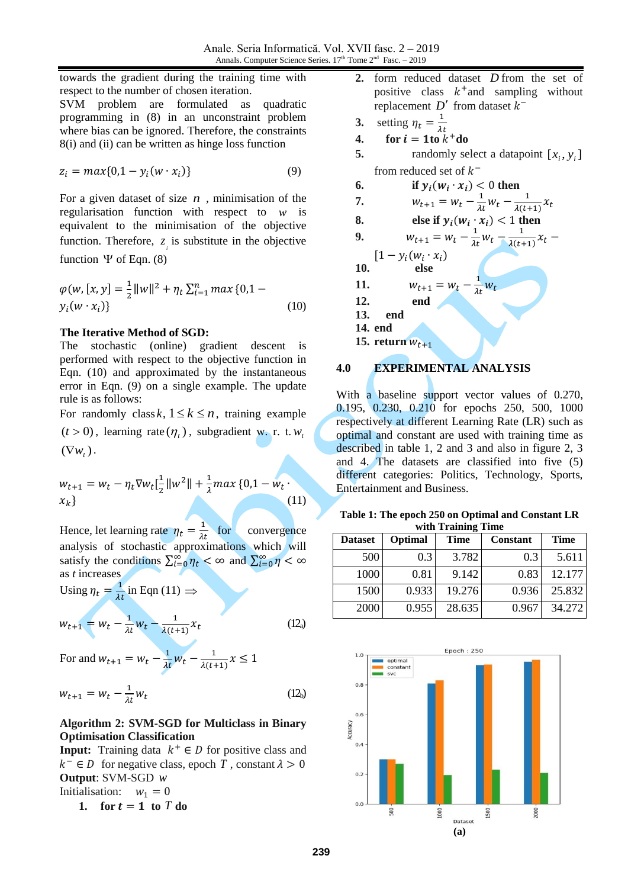towards the gradient during the training time with respect to the number of chosen iteration. SVM problem are formulated as quadratic programming in (8) in an unconstraint problem where bias can be ignored. Therefore, the constraints 8(i) and (ii) can be written as hinge loss function

$$
z_i = max\{0, 1 - y_i(w \cdot x_i)\}\tag{9}
$$

For a given dataset of size  $n$ , minimisation of the regularisation function with respect to *w* is equivalent to the minimisation of the objective function. Therefore,  $z_i$  is substitute in the objective function  $\Psi$  of Eqn. (8)

$$
\varphi(w, [x, y] = \frac{1}{2} ||w||^2 + \eta_t \sum_{i=1}^n \max\{0, 1 - y_i(w \cdot x_i)\}\n \tag{10}
$$

#### **The Iterative Method of SGD:**

The stochastic (online) gradient descent is performed with respect to the objective function in Eqn. (10) and approximated by the instantaneous error in Eqn. (9) on a single example. The update rule is as follows:

For randomly class  $k, 1 \leq k \leq n$ , training example  $(t > 0)$ , learning rate  $(\eta_t)$ , subgradient w. r. t.  $w_t$  $(\nabla w_t)$ .

$$
w_{t+1} = w_t - \eta_t \nabla w_t \left[\frac{1}{2} ||w^2|| + \frac{1}{\lambda} \max\left\{0, 1 - w_t\right\}\right]
$$
  
(11)

Hence, let learning rate  $\eta_t = \frac{1}{\lambda t}$  for convergence analysis of stochastic approximations which will satisfy the conditions  $\sum_{i=0}^{\infty} \eta_t < \infty$  and  $\sum_{i=0}^{\infty} \eta < \infty$ as *t* increases

Using  $\eta_t = \frac{1}{\lambda t}$  in Eqn (11)  $\Rightarrow$ 

$$
w_{t+1} = w_t - \frac{1}{\lambda t} w_t - \frac{1}{\lambda (t+1)} x_t
$$
 (12<sub>a</sub>)

For and  $w_{t+1} = w_t - \frac{1}{\lambda t} w_t - \frac{1}{\lambda (t+1)}$  $\frac{1}{\lambda(t+1)}x \leq 1$ 

$$
w_{t+1} = w_t - \frac{1}{\lambda t} w_t
$$
 (12<sub>b</sub>)

## **Algorithm 2: SVM-SGD for Multiclass in Binary Optimisation Classification**

**Input:** Training data  $k^+ \in D$  for positive class and  $k^- \in D$  for negative class, epoch T, constant  $\lambda > 0$ **Output**: SVM-SGD *w* Initialisation:  $w_1 = 0$ 

1. **for**  $t = 1$  **to**  $T$  **do** 

- **2.** form reduced dataset *D* from the set of positive class  $k^+$  and sampling without replacement  $D'$  from dataset  $k^-$
- **3.** setting  $\eta_t = \frac{1}{\lambda_t}$  $\lambda t$ 
	- **4.** for  $i = 1$  to  $k^+$  do
- **5.** randomly select a datapoint  $[x_i, y_i]$ from reduced set of  $k^-$
- **6.** if  $y_i(w_i \cdot x_i) < 0$  then
- **7.**  $W_{t+1} = W_t \frac{1}{\lambda t} W_t \frac{1}{\lambda (t-1)}$  $\frac{1}{\lambda(t+1)}x_t$
- **8.** else if  $y_i(w_i \cdot x_i) < 1$  then
- **9.**  $W_{t+1} = W_t \frac{1}{\lambda t} W_t \frac{1}{\lambda (t+1)}$  $\frac{1}{\lambda(t+1)}x_t$  –

 $[1 - y_i(w_i \cdot x_i)]$ **10. else 11.**  $w_{t+1} = w_t - \frac{1}{\lambda t} w_t$ **12. end 13. end 14. end**

15. **return**  $W_{t+1}$ 

## **4.0 EXPERIMENTAL ANALYSIS**

With a baseline support vector values of 0.270, 0.195, 0.230, 0.210 for epochs 250, 500, 1000 respectively at different Learning Rate (LR) such as optimal and constant are used with training time as described in table 1, 2 and 3 and also in figure 2, 3 and 4. The datasets are classified into five (5) different categories: Politics, Technology, Sports, Entertainment and Business.

|  |  |                    | Table 1: The epoch 250 on Optimal and Constant LR |  |
|--|--|--------------------|---------------------------------------------------|--|
|  |  | with Training Time |                                                   |  |

| <b>Dataset</b> | Optimal | <b>Time</b> | Constant | <b>Time</b> |
|----------------|---------|-------------|----------|-------------|
| 500            | 0.3     | 3.782       | 0.3      | 5.611       |
| 1000           | 0.81    | 9.142       | 0.83     | 12.177      |
| 1500           | 0.933   | 19.276      | 0.936    | 25.832      |
| 2000           | 0.955   | 28.635      | 0.967    | 34.272      |

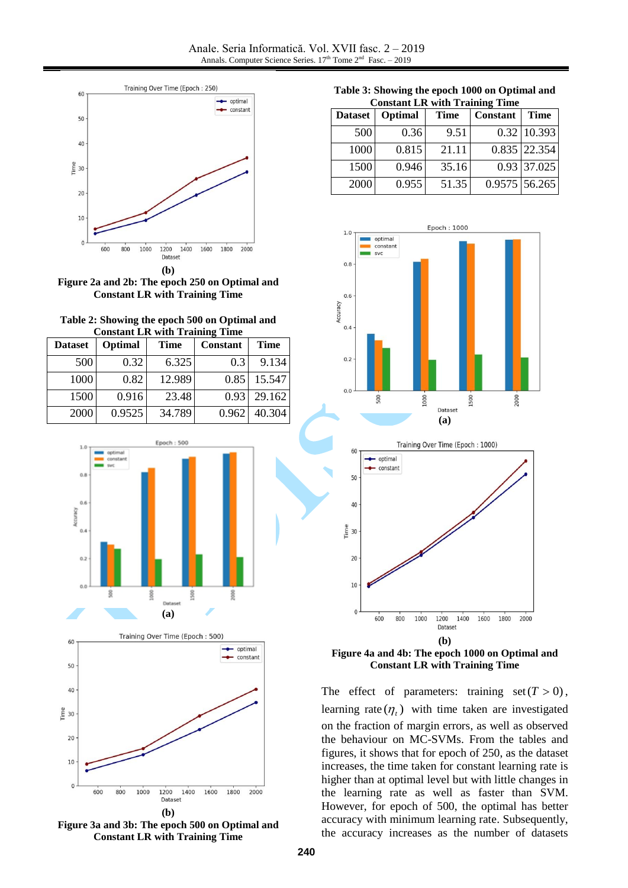



**Table 2: Showing the epoch 500 on Optimal and Constant LR with Training Time**

| <b>Dataset</b> | Optimal | Time   | <b>Constant</b> | Time   |
|----------------|---------|--------|-----------------|--------|
| 500            | 0.32    | 6.325  | 0.3             | 9.134  |
| 1000           | 0.82    | 12.989 | 0.85            | 15.547 |
| 1500           | 0.916   | 23.48  | 0.93            | 29.162 |
| 2000           | 0.9525  | 34.789 | 0.962           | 40.304 |



**Figure 3a and 3b: The epoch 500 on Optimal and Constant LR with Training Time**

**Table 3: Showing the epoch 1000 on Optimal and Constant LR with Training Time**

| Сонжин симпин ттанние типе |         |             |          |                 |  |
|----------------------------|---------|-------------|----------|-----------------|--|
| <b>Dataset</b>             | Optimal | <b>Time</b> | Constant | <b>Time</b>     |  |
| 500                        | 0.36    | 9.51        |          | $0.32$ 10.393   |  |
| 1000                       | 0.815   | 21.11       |          | 0.835 22.354    |  |
| 1500                       | 0.946   | 35.16       |          | 0.93 37.025     |  |
| 2000                       | 0.955   | 51.35       |          | $0.9575$ 56.265 |  |





**Figure 4a and 4b: The epoch 1000 on Optimal and Constant LR with Training Time**

The effect of parameters: training  $set(T > 0)$ , learning rate  $(\eta_t)$  with time taken are investigated on the fraction of margin errors, as well as observed the behaviour on MC-SVMs. From the tables and figures, it shows that for epoch of 250, as the dataset increases, the time taken for constant learning rate is higher than at optimal level but with little changes in the learning rate as well as faster than SVM. However, for epoch of 500, the optimal has better accuracy with minimum learning rate. Subsequently, the accuracy increases as the number of datasets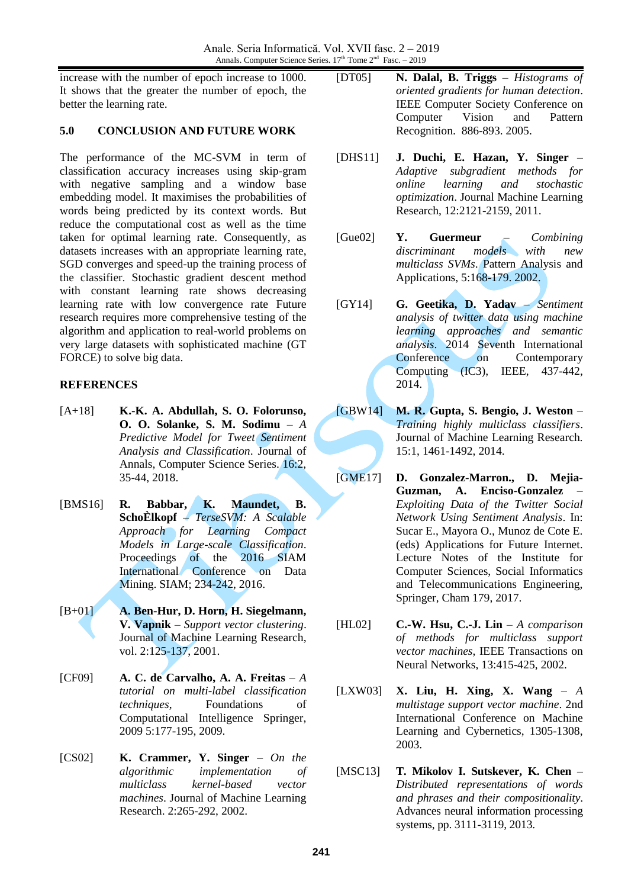increase with the number of epoch increase to 1000. It shows that the greater the number of epoch, the better the learning rate.

## **5.0 CONCLUSION AND FUTURE WORK**

The performance of the MC-SVM in term of classification accuracy increases using skip-gram with negative sampling and a window base embedding model. It maximises the probabilities of words being predicted by its context words. But reduce the computational cost as well as the time taken for optimal learning rate. Consequently, as datasets increases with an appropriate learning rate, SGD converges and speed-up the training process of the classifier. Stochastic gradient descent method with constant learning rate shows decreasing learning rate with low convergence rate Future research requires more comprehensive testing of the algorithm and application to real-world problems on very large datasets with sophisticated machine (GT FORCE) to solve big data.

## **REFERENCES**

- [A+18] **K.-K. A. Abdullah, S. O. Folorunso, O. O. Solanke, S. M. Sodimu** – *A Predictive Model for Tweet Sentiment Analysis and Classification*. Journal of Annals, Computer Science Series. 16:2, 35-44, 2018.
- [BMS16] **R. Babbar, K. Maundet, B. SchoÈlkopf** – *TerseSVM: A Scalable Approach for Learning Compact Models in Large-scale Classification*. Proceedings of the 2016 SIAM International Conference on Data Mining. SIAM; 234-242, 2016.
- [B+01] **A. Ben-Hur, D. Horn, H. Siegelmann, V. Vapnik** – *Support vector clustering*. Journal of Machine Learning Research, vol. 2:125-137, 2001.
- [CF09] **A. C. de Carvalho, A. A. Freitas** *A tutorial on multi-label classification techniques*, Foundations of Computational Intelligence Springer, 2009 5:177-195, 2009.
- [CS02] **K. Crammer, Y. Singer** *On the algorithmic implementation of multiclass kernel-based vector machines*. Journal of Machine Learning Research. 2:265-292, 2002.
- [DT05] **N. Dalal, B. Triggs** *Histograms of oriented gradients for human detection*. IEEE Computer Society Conference on Computer Vision and Pattern Recognition. 886-893. 2005.
- [DHS11] **J. Duchi, E. Hazan, Y. Singer**  *Adaptive subgradient methods for online learning and stochastic optimization*. Journal Machine Learning Research, 12:2121-2159, 2011.
- [Gue02] **Y. Guermeur** *Combining discriminant models with new multiclass SVMs*. Pattern Analysis and Applications, 5:168-179. 2002.
- [GY14] **G. Geetika, D. Yadav**  *Sentiment analysis of twitter data using machine learning approaches and semantic analysis*. 2014 Seventh International Conference on Contemporary Computing (IC3), IEEE, 437-442, 2014.
- [GBW14] **M. R. Gupta, S. Bengio, J. Weston** *Training highly multiclass classifiers*. Journal of Machine Learning Research. 15:1, 1461-1492, 2014.
- [GME17] **D. Gonzalez-Marron., D. Mejia-Guzman, A. Enciso-Gonzalez** – *Exploiting Data of the Twitter Social Network Using Sentiment Analysis*. In: Sucar E., Mayora O., Munoz de Cote E. (eds) Applications for Future Internet. Lecture Notes of the Institute for Computer Sciences, Social Informatics and Telecommunications Engineering, Springer, Cham 179, 2017.
- [HL02] **C.-W. Hsu, C.-J. Lin** *A comparison of methods for multiclass support vector machines*, IEEE Transactions on Neural Networks, 13:415-425, 2002.
- [LXW03] **X. Liu, H. Xing, X. Wang** *A multistage support vector machine*. 2nd International Conference on Machine Learning and Cybernetics, 1305-1308, 2003.
- [MSC13] **T. Mikolov I. Sutskever, K. Chen** *Distributed representations of words and phrases and their compositionality*. Advances neural information processing systems, pp. 3111-3119, 2013.